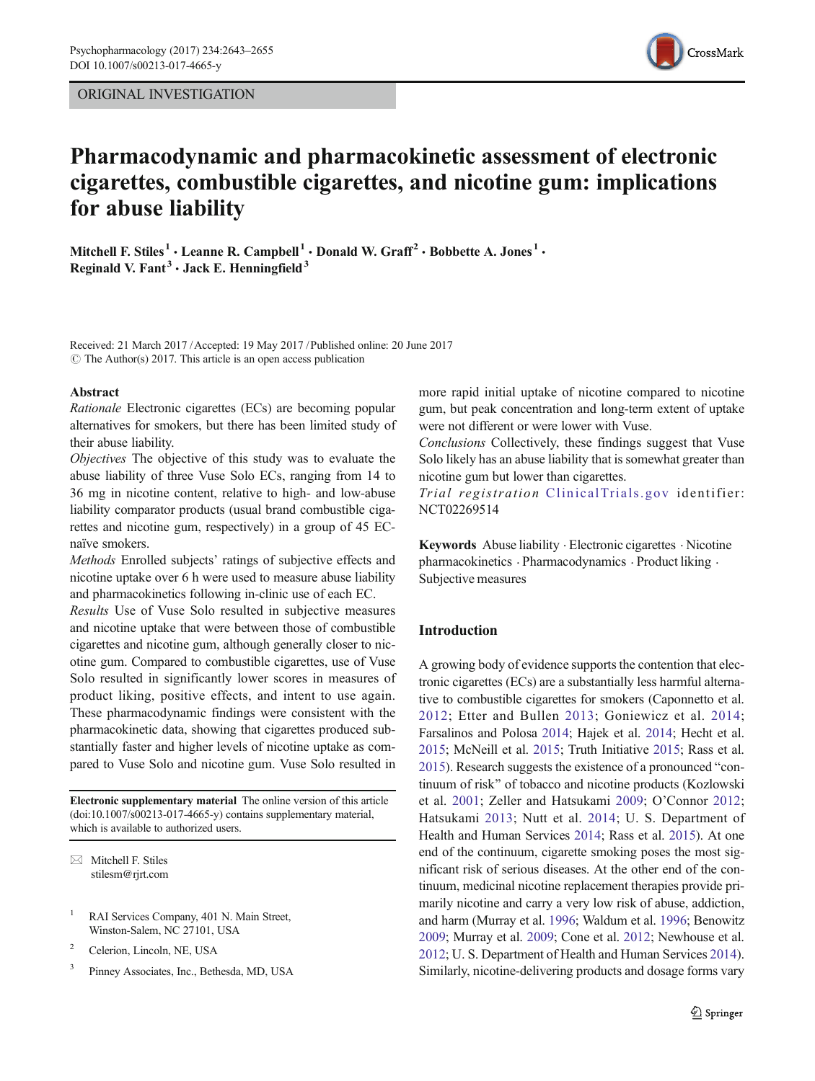

# Pharmacodynamic and pharmacokinetic assessment of electronic cigarettes, combustible cigarettes, and nicotine gum: implications for abuse liability

Mitchell F. Stiles<sup>1</sup>  $\cdot$  Leanne R. Campbell<sup>1</sup>  $\cdot$  Donald W. Graff<sup>2</sup>  $\cdot$  Bobbette A. Jones<sup>1</sup>  $\cdot$ Reginald V. Fant<sup>3</sup>  $\cdot$  Jack E. Henningfield<sup>3</sup>

Received: 21 March 2017 /Accepted: 19 May 2017 /Published online: 20 June 2017  $\circ$  The Author(s) 2017. This article is an open access publication

#### Abstract

Rationale Electronic cigarettes (ECs) are becoming popular alternatives for smokers, but there has been limited study of their abuse liability.

Objectives The objective of this study was to evaluate the abuse liability of three Vuse Solo ECs, ranging from 14 to 36 mg in nicotine content, relative to high- and low-abuse liability comparator products (usual brand combustible cigarettes and nicotine gum, respectively) in a group of 45 ECnaïve smokers.

Methods Enrolled subjects' ratings of subjective effects and nicotine uptake over 6 h were used to measure abuse liability and pharmacokinetics following in-clinic use of each EC.

Results Use of Vuse Solo resulted in subjective measures and nicotine uptake that were between those of combustible cigarettes and nicotine gum, although generally closer to nicotine gum. Compared to combustible cigarettes, use of Vuse Solo resulted in significantly lower scores in measures of product liking, positive effects, and intent to use again. These pharmacodynamic findings were consistent with the pharmacokinetic data, showing that cigarettes produced substantially faster and higher levels of nicotine uptake as compared to Vuse Solo and nicotine gum. Vuse Solo resulted in

Electronic supplementary material The online version of this article (doi[:10.1007/s00213-017-4665-y](http://dx.doi.org/10.1007/s00213-017-4665-y)) contains supplementary material, which is available to authorized users.

 $\boxtimes$  Mitchell F. Stiles [stilesm@rjrt.com](mailto:stilesm@rjrt.com)

- <sup>1</sup> RAI Services Company, 401 N. Main Street, Winston-Salem, NC 27101, USA
- <sup>2</sup> Celerion, Lincoln, NE, USA
- <sup>3</sup> Pinney Associates, Inc., Bethesda, MD, USA

more rapid initial uptake of nicotine compared to nicotine gum, but peak concentration and long-term extent of uptake were not different or were lower with Vuse.

Conclusions Collectively, these findings suggest that Vuse Solo likely has an abuse liability that is somewhat greater than nicotine gum but lower than cigarettes.

Trial registration [ClinicalTrials.gov](http://clinicaltrials.gov) identifier: NCT02269514

Keywords Abuse liability · Electronic cigarettes · Nicotine pharmacokinetics . Pharmacodynamics . Product liking . Subjective measures

# Introduction

A growing body of evidence supports the contention that electronic cigarettes (ECs) are a substantially less harmful alternative to combustible cigarettes for smokers (Caponnetto et al. [2012;](#page-10-0) Etter and Bullen [2013;](#page-10-0) Goniewicz et al. [2014;](#page-11-0) Farsalinos and Polosa [2014;](#page-10-0) Hajek et al. [2014;](#page-11-0) Hecht et al. [2015;](#page-11-0) McNeill et al. [2015](#page-11-0); Truth Initiative [2015](#page-12-0); Rass et al. [2015\)](#page-11-0). Research suggests the existence of a pronounced "continuum of risk" of tobacco and nicotine products (Kozlowski et al. [2001;](#page-11-0) Zeller and Hatsukami [2009](#page-12-0); O'Connor [2012;](#page-11-0) Hatsukami [2013](#page-11-0); Nutt et al. [2014](#page-11-0); U. S. Department of Health and Human Services [2014](#page-12-0); Rass et al. [2015\)](#page-11-0). At one end of the continuum, cigarette smoking poses the most significant risk of serious diseases. At the other end of the continuum, medicinal nicotine replacement therapies provide primarily nicotine and carry a very low risk of abuse, addiction, and harm (Murray et al. [1996;](#page-11-0) Waldum et al. [1996;](#page-12-0) Benowitz [2009;](#page-10-0) Murray et al. [2009;](#page-11-0) Cone et al. [2012](#page-10-0); Newhouse et al. [2012;](#page-11-0) U. S. Department of Health and Human Services [2014\)](#page-12-0). Similarly, nicotine-delivering products and dosage forms vary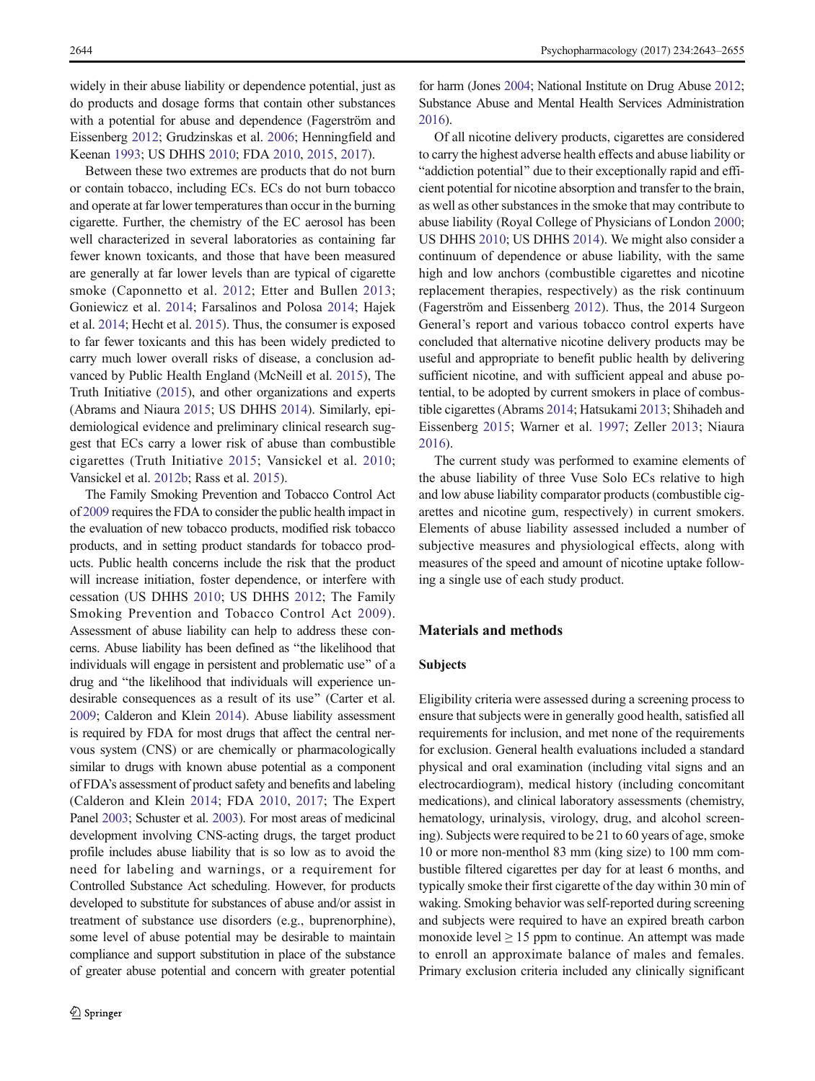widely in their abuse liability or dependence potential, just as do products and dosage forms that contain other substances with a potential for abuse and dependence (Fagerström and Eissenberg [2012;](#page-10-0) Grudzinskas et al. [2006](#page-11-0); Henningfield and Keenan [1993;](#page-11-0) US DHHS [2010](#page-12-0); FDA [2010](#page-11-0), [2015](#page-11-0), [2017\)](#page-11-0).

Between these two extremes are products that do not burn or contain tobacco, including ECs. ECs do not burn tobacco and operate at far lower temperatures than occur in the burning cigarette. Further, the chemistry of the EC aerosol has been well characterized in several laboratories as containing far fewer known toxicants, and those that have been measured are generally at far lower levels than are typical of cigarette smoke (Caponnetto et al. [2012;](#page-10-0) Etter and Bullen [2013](#page-10-0); Goniewicz et al. [2014](#page-11-0); Farsalinos and Polosa [2014](#page-10-0); Hajek et al. [2014](#page-11-0); Hecht et al. [2015](#page-11-0)). Thus, the consumer is exposed to far fewer toxicants and this has been widely predicted to carry much lower overall risks of disease, a conclusion advanced by Public Health England (McNeill et al. [2015](#page-11-0)), The Truth Initiative [\(2015](#page-12-0)), and other organizations and experts (Abrams and Niaura [2015](#page-10-0); US DHHS [2014\)](#page-12-0). Similarly, epidemiological evidence and preliminary clinical research suggest that ECs carry a lower risk of abuse than combustible cigarettes (Truth Initiative [2015](#page-12-0); Vansickel et al. [2010](#page-12-0); Vansickel et al. [2012b](#page-12-0); Rass et al. [2015\)](#page-11-0).

The Family Smoking Prevention and Tobacco Control Act of [2009](#page-10-0) requires the FDA to consider the public health impact in the evaluation of new tobacco products, modified risk tobacco products, and in setting product standards for tobacco products. Public health concerns include the risk that the product will increase initiation, foster dependence, or interfere with cessation (US DHHS [2010;](#page-11-0) US DHHS [2012](#page-12-0); The Family Smoking Prevention and Tobacco Control Act [2009\)](#page-10-0). Assessment of abuse liability can help to address these concerns. Abuse liability has been defined as "the likelihood that individuals will engage in persistent and problematic use" of a drug and "the likelihood that individuals will experience undesirable consequences as a result of its use^ (Carter et al. [2009](#page-10-0); Calderon and Klein [2014\)](#page-10-0). Abuse liability assessment is required by FDA for most drugs that affect the central nervous system (CNS) or are chemically or pharmacologically similar to drugs with known abuse potential as a component of FDA's assessment of product safety and benefits and labeling (Calderon and Klein [2014](#page-10-0); FDA [2010,](#page-11-0) [2017;](#page-11-0) The Expert Panel [2003;](#page-12-0) Schuster et al. [2003](#page-11-0)). For most areas of medicinal development involving CNS-acting drugs, the target product profile includes abuse liability that is so low as to avoid the need for labeling and warnings, or a requirement for Controlled Substance Act scheduling. However, for products developed to substitute for substances of abuse and/or assist in treatment of substance use disorders (e.g., buprenorphine), some level of abuse potential may be desirable to maintain compliance and support substitution in place of the substance of greater abuse potential and concern with greater potential

for harm (Jones [2004;](#page-11-0) National Institute on Drug Abuse [2012;](#page-11-0) Substance Abuse and Mental Health Services Administration [2016](#page-12-0)).

Of all nicotine delivery products, cigarettes are considered to carry the highest adverse health effects and abuse liability or "addiction potential" due to their exceptionally rapid and efficient potential for nicotine absorption and transfer to the brain, as well as other substances in the smoke that may contribute to abuse liability (Royal College of Physicians of London [2000;](#page-11-0) US DHHS [2010;](#page-11-0) US DHHS [2014](#page-12-0)). We might also consider a continuum of dependence or abuse liability, with the same high and low anchors (combustible cigarettes and nicotine replacement therapies, respectively) as the risk continuum (Fagerström and Eissenberg [2012](#page-10-0)). Thus, the 2014 Surgeon General's report and various tobacco control experts have concluded that alternative nicotine delivery products may be useful and appropriate to benefit public health by delivering sufficient nicotine, and with sufficient appeal and abuse potential, to be adopted by current smokers in place of combustible cigarettes (Abrams [2014](#page-10-0); Hatsukami [2013](#page-11-0); Shihadeh and Eissenberg [2015](#page-12-0); Warner et al. [1997;](#page-12-0) Zeller [2013;](#page-12-0) Niaura [2016\)](#page-11-0).

The current study was performed to examine elements of the abuse liability of three Vuse Solo ECs relative to high and low abuse liability comparator products (combustible cigarettes and nicotine gum, respectively) in current smokers. Elements of abuse liability assessed included a number of subjective measures and physiological effects, along with measures of the speed and amount of nicotine uptake following a single use of each study product.

# Materials and methods

# Subjects

Eligibility criteria were assessed during a screening process to ensure that subjects were in generally good health, satisfied all requirements for inclusion, and met none of the requirements for exclusion. General health evaluations included a standard physical and oral examination (including vital signs and an electrocardiogram), medical history (including concomitant medications), and clinical laboratory assessments (chemistry, hematology, urinalysis, virology, drug, and alcohol screening). Subjects were required to be 21 to 60 years of age, smoke 10 or more non-menthol 83 mm (king size) to 100 mm combustible filtered cigarettes per day for at least 6 months, and typically smoke their first cigarette of the day within 30 min of waking. Smoking behavior was self-reported during screening and subjects were required to have an expired breath carbon monoxide level  $\geq 15$  ppm to continue. An attempt was made to enroll an approximate balance of males and females. Primary exclusion criteria included any clinically significant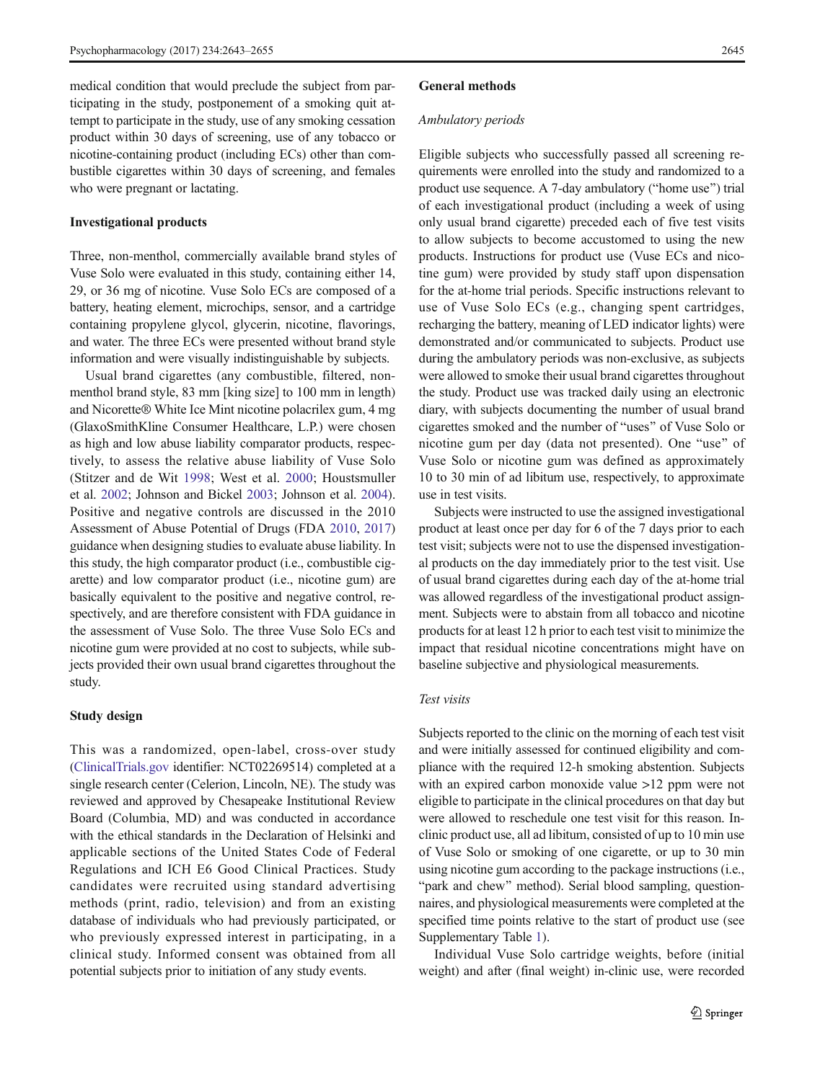medical condition that would preclude the subject from participating in the study, postponement of a smoking quit attempt to participate in the study, use of any smoking cessation product within 30 days of screening, use of any tobacco or nicotine-containing product (including ECs) other than combustible cigarettes within 30 days of screening, and females who were pregnant or lactating.

# Investigational products

Three, non-menthol, commercially available brand styles of Vuse Solo were evaluated in this study, containing either 14, 29, or 36 mg of nicotine. Vuse Solo ECs are composed of a battery, heating element, microchips, sensor, and a cartridge containing propylene glycol, glycerin, nicotine, flavorings, and water. The three ECs were presented without brand style information and were visually indistinguishable by subjects.

Usual brand cigarettes (any combustible, filtered, nonmenthol brand style, 83 mm [king size] to 100 mm in length) and Nicorette® White Ice Mint nicotine polacrilex gum, 4 mg (GlaxoSmithKline Consumer Healthcare, L.P.) were chosen as high and low abuse liability comparator products, respectively, to assess the relative abuse liability of Vuse Solo (Stitzer and de Wit [1998](#page-12-0); West et al. [2000;](#page-12-0) Houstsmuller et al. [2002](#page-11-0); Johnson and Bickel [2003](#page-11-0); Johnson et al. [2004\)](#page-11-0). Positive and negative controls are discussed in the 2010 Assessment of Abuse Potential of Drugs (FDA [2010,](#page-11-0) [2017\)](#page-11-0) guidance when designing studies to evaluate abuse liability. In this study, the high comparator product (i.e., combustible cigarette) and low comparator product (i.e., nicotine gum) are basically equivalent to the positive and negative control, respectively, and are therefore consistent with FDA guidance in the assessment of Vuse Solo. The three Vuse Solo ECs and nicotine gum were provided at no cost to subjects, while subjects provided their own usual brand cigarettes throughout the study.

## Study design

This was a randomized, open-label, cross-over study [\(ClinicalTrials.gov](http://clinicaltrials.gov) identifier: NCT02269514) completed at a single research center (Celerion, Lincoln, NE). The study was reviewed and approved by Chesapeake Institutional Review Board (Columbia, MD) and was conducted in accordance with the ethical standards in the Declaration of Helsinki and applicable sections of the United States Code of Federal Regulations and ICH E6 Good Clinical Practices. Study candidates were recruited using standard advertising methods (print, radio, television) and from an existing database of individuals who had previously participated, or who previously expressed interest in participating, in a clinical study. Informed consent was obtained from all potential subjects prior to initiation of any study events.

#### General methods

#### Ambulatory periods

Eligible subjects who successfully passed all screening requirements were enrolled into the study and randomized to a product use sequence. A 7-day ambulatory ("home use") trial of each investigational product (including a week of using only usual brand cigarette) preceded each of five test visits to allow subjects to become accustomed to using the new products. Instructions for product use (Vuse ECs and nicotine gum) were provided by study staff upon dispensation for the at-home trial periods. Specific instructions relevant to use of Vuse Solo ECs (e.g., changing spent cartridges, recharging the battery, meaning of LED indicator lights) were demonstrated and/or communicated to subjects. Product use during the ambulatory periods was non-exclusive, as subjects were allowed to smoke their usual brand cigarettes throughout the study. Product use was tracked daily using an electronic diary, with subjects documenting the number of usual brand cigarettes smoked and the number of "uses" of Vuse Solo or nicotine gum per day (data not presented). One "use" of Vuse Solo or nicotine gum was defined as approximately 10 to 30 min of ad libitum use, respectively, to approximate use in test visits.

Subjects were instructed to use the assigned investigational product at least once per day for 6 of the 7 days prior to each test visit; subjects were not to use the dispensed investigational products on the day immediately prior to the test visit. Use of usual brand cigarettes during each day of the at-home trial was allowed regardless of the investigational product assignment. Subjects were to abstain from all tobacco and nicotine products for at least 12 h prior to each test visit to minimize the impact that residual nicotine concentrations might have on baseline subjective and physiological measurements.

# Test visits

Subjects reported to the clinic on the morning of each test visit and were initially assessed for continued eligibility and compliance with the required 12-h smoking abstention. Subjects with an expired carbon monoxide value >12 ppm were not eligible to participate in the clinical procedures on that day but were allowed to reschedule one test visit for this reason. Inclinic product use, all ad libitum, consisted of up to 10 min use of Vuse Solo or smoking of one cigarette, or up to 30 min using nicotine gum according to the package instructions (i.e., "park and chew" method). Serial blood sampling, questionnaires, and physiological measurements were completed at the specified time points relative to the start of product use (see Supplementary Table 1).

Individual Vuse Solo cartridge weights, before (initial weight) and after (final weight) in-clinic use, were recorded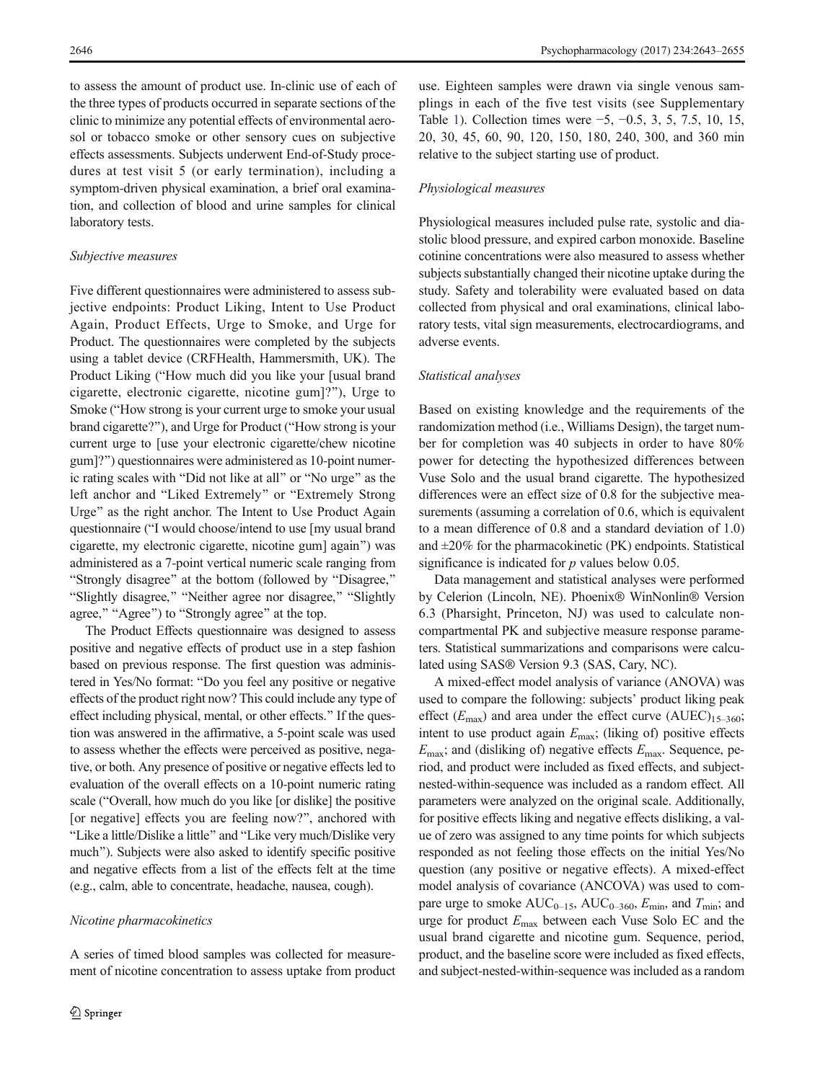to assess the amount of product use. In-clinic use of each of the three types of products occurred in separate sections of the clinic to minimize any potential effects of environmental aerosol or tobacco smoke or other sensory cues on subjective effects assessments. Subjects underwent End-of-Study procedures at test visit 5 (or early termination), including a symptom-driven physical examination, a brief oral examination, and collection of blood and urine samples for clinical laboratory tests.

#### Subjective measures

Five different questionnaires were administered to assess subjective endpoints: Product Liking, Intent to Use Product Again, Product Effects, Urge to Smoke, and Urge for Product. The questionnaires were completed by the subjects using a tablet device (CRFHealth, Hammersmith, UK). The Product Liking ("How much did you like your [usual brand cigarette, electronic cigarette, nicotine gum]?^), Urge to Smoke ("How strong is your current urge to smoke your usual brand cigarette?"), and Urge for Product ("How strong is your current urge to [use your electronic cigarette/chew nicotine gum]?^) questionnaires were administered as 10-point numeric rating scales with "Did not like at all" or "No urge" as the left anchor and "Liked Extremely" or "Extremely Strong Urge" as the right anchor. The Intent to Use Product Again questionnaire ("I would choose/intend to use [my usual brand cigarette, my electronic cigarette, nicotine gum] again^) was administered as a 7-point vertical numeric scale ranging from "Strongly disagree" at the bottom (followed by "Disagree," "Slightly disagree," "Neither agree nor disagree," "Slightly agree," "Agree") to "Strongly agree" at the top.

The Product Effects questionnaire was designed to assess positive and negative effects of product use in a step fashion based on previous response. The first question was administered in Yes/No format: "Do you feel any positive or negative effects of the product right now? This could include any type of effect including physical, mental, or other effects." If the question was answered in the affirmative, a 5-point scale was used to assess whether the effects were perceived as positive, negative, or both. Any presence of positive or negative effects led to evaluation of the overall effects on a 10-point numeric rating scale ("Overall, how much do you like [or dislike] the positive [or negative] effects you are feeling now?", anchored with "Like a little/Dislike a little" and "Like very much/Dislike very much"). Subjects were also asked to identify specific positive and negative effects from a list of the effects felt at the time (e.g., calm, able to concentrate, headache, nausea, cough).

### Nicotine pharmacokinetics

A series of timed blood samples was collected for measurement of nicotine concentration to assess uptake from product

use. Eighteen samples were drawn via single venous samplings in each of the five test visits (see Supplementary Table 1). Collection times were −5, −0.5, 3, 5, 7.5, 10, 15, 20, 30, 45, 60, 90, 120, 150, 180, 240, 300, and 360 min relative to the subject starting use of product.

## Physiological measures

Physiological measures included pulse rate, systolic and diastolic blood pressure, and expired carbon monoxide. Baseline cotinine concentrations were also measured to assess whether subjects substantially changed their nicotine uptake during the study. Safety and tolerability were evaluated based on data collected from physical and oral examinations, clinical laboratory tests, vital sign measurements, electrocardiograms, and adverse events.

## Statistical analyses

Based on existing knowledge and the requirements of the randomization method (i.e., Williams Design), the target number for completion was 40 subjects in order to have 80% power for detecting the hypothesized differences between Vuse Solo and the usual brand cigarette. The hypothesized differences were an effect size of 0.8 for the subjective measurements (assuming a correlation of 0.6, which is equivalent to a mean difference of 0.8 and a standard deviation of 1.0) and  $\pm 20\%$  for the pharmacokinetic (PK) endpoints. Statistical significance is indicated for  $p$  values below 0.05.

Data management and statistical analyses were performed by Celerion (Lincoln, NE). Phoenix® WinNonlin® Version 6.3 (Pharsight, Princeton, NJ) was used to calculate noncompartmental PK and subjective measure response parameters. Statistical summarizations and comparisons were calculated using SAS® Version 9.3 (SAS, Cary, NC).

A mixed-effect model analysis of variance (ANOVA) was used to compare the following: subjects' product liking peak effect  $(E_{\text{max}})$  and area under the effect curve  $(AUEC)_{15-360}$ ; intent to use product again  $E_{\text{max}}$ ; (liking of) positive effects  $E_{\text{max}}$ ; and (disliking of) negative effects  $E_{\text{max}}$ . Sequence, period, and product were included as fixed effects, and subjectnested-within-sequence was included as a random effect. All parameters were analyzed on the original scale. Additionally, for positive effects liking and negative effects disliking, a value of zero was assigned to any time points for which subjects responded as not feeling those effects on the initial Yes/No question (any positive or negative effects). A mixed-effect model analysis of covariance (ANCOVA) was used to compare urge to smoke  $AUC_{0-15}$ ,  $AUC_{0-360}$ ,  $E_{\text{min}}$ , and  $T_{\text{min}}$ ; and urge for product Emax between each Vuse Solo EC and the usual brand cigarette and nicotine gum. Sequence, period, product, and the baseline score were included as fixed effects, and subject-nested-within-sequence was included as a random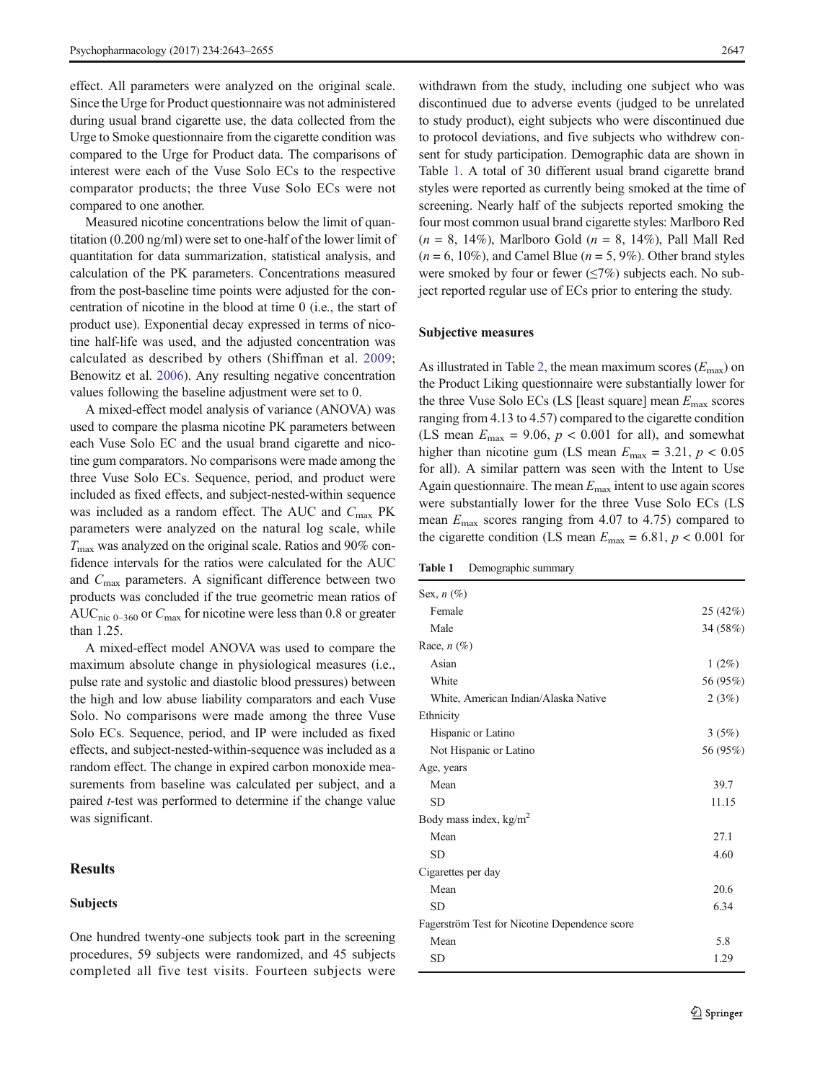effect. All parameters were analyzed on the original scale. Since the Urge for Product questionnaire was not administered during usual brand cigarette use, the data collected from the Urge to Smoke questionnaire from the cigarette condition was compared to the Urge for Product data. The comparisons of interest were each of the Vuse Solo ECs to the respective comparator products; the three Vuse Solo ECs were not compared to one another.

Measured nicotine concentrations below the limit of quantitation (0.200 ng/ml) were set to one-half of the lower limit of quantitation for data summarization, statistical analysis, and calculation of the PK parameters. Concentrations measured from the post-baseline time points were adjusted for the concentration of nicotine in the blood at time 0 (i.e., the start of product use). Exponential decay expressed in terms of nicotine half-life was used, and the adjusted concentration was calculated as described by others (Shiffman et al. [2009](#page-12-0); Benowitz et al. [2006](#page-10-0)). Any resulting negative concentration values following the baseline adjustment were set to 0.

A mixed-effect model analysis of variance (ANOVA) was used to compare the plasma nicotine PK parameters between each Vuse Solo EC and the usual brand cigarette and nicotine gum comparators. No comparisons were made among the three Vuse Solo ECs. Sequence, period, and product were included as fixed effects, and subject-nested-within sequence was included as a random effect. The AUC and  $C_{\text{max}}$  PK parameters were analyzed on the natural log scale, while  $T_{\text{max}}$  was analyzed on the original scale. Ratios and 90% confidence intervals for the ratios were calculated for the AUC and Cmax parameters. A significant difference between two products was concluded if the true geometric mean ratios of AUC<sub>nic 0–360</sub> or  $C_{\text{max}}$  for nicotine were less than 0.8 or greater than 1.25.

A mixed-effect model ANOVA was used to compare the maximum absolute change in physiological measures (i.e., pulse rate and systolic and diastolic blood pressures) between the high and low abuse liability comparators and each Vuse Solo. No comparisons were made among the three Vuse Solo ECs. Sequence, period, and IP were included as fixed effects, and subject-nested-within-sequence was included as a random effect. The change in expired carbon monoxide measurements from baseline was calculated per subject, and a paired *t*-test was performed to determine if the change value was significant.

# Results

#### Subjects

One hundred twenty-one subjects took part in the screening procedures, 59 subjects were randomized, and 45 subjects completed all five test visits. Fourteen subjects were

withdrawn from the study, including one subject who was discontinued due to adverse events (judged to be unrelated to study product), eight subjects who were discontinued due to protocol deviations, and five subjects who withdrew consent for study participation. Demographic data are shown in Table 1. A total of 30 different usual brand cigarette brand styles were reported as currently being smoked at the time of screening. Nearly half of the subjects reported smoking the four most common usual brand cigarette styles: Marlboro Red  $(n = 8, 14\%)$ , Marlboro Gold  $(n = 8, 14\%)$ , Pall Mall Red  $(n = 6, 10\%)$ , and Camel Blue  $(n = 5, 9\%)$ . Other brand styles were smoked by four or fewer  $(\leq 7\%)$  subjects each. No subject reported regular use of ECs prior to entering the study.

#### Subjective measures

As illustrated in Table [2,](#page-5-0) the mean maximum scores  $(E_{\text{max}})$  on the Product Liking questionnaire were substantially lower for the three Vuse Solo ECs (LS [least square] mean  $E_{\text{max}}$  scores ranging from 4.13 to 4.57) compared to the cigarette condition (LS mean  $E_{\text{max}} = 9.06$ ,  $p < 0.001$  for all), and somewhat higher than nicotine gum (LS mean  $E_{\text{max}} = 3.21$ ,  $p < 0.05$ for all). A similar pattern was seen with the Intent to Use Again questionnaire. The mean  $E_{\text{max}}$  intent to use again scores were substantially lower for the three Vuse Solo ECs (LS mean  $E_{\text{max}}$  scores ranging from 4.07 to 4.75) compared to the cigarette condition (LS mean  $E_{\text{max}} = 6.81, p < 0.001$  for

Table 1 Demographic summary

| Sex, $n(\%)$                                  |          |
|-----------------------------------------------|----------|
| Female                                        | 25(42%)  |
| Male                                          | 34 (58%) |
| Race, $n$ (%)                                 |          |
| Asian                                         | $1(2\%)$ |
| White                                         | 56 (95%) |
| White, American Indian/Alaska Native          | 2(3%)    |
| Ethnicity                                     |          |
| Hispanic or Latino                            | 3(5%)    |
| Not Hispanic or Latino                        | 56 (95%) |
| Age, years                                    |          |
| Mean                                          | 39.7     |
| SD                                            | 11.15    |
| Body mass index, $kg/m2$                      |          |
| Mean                                          | 27.1     |
| SD                                            | 4.60     |
| Cigarettes per day                            |          |
| Mean                                          | 20.6     |
| SD                                            | 6.34     |
| Fagerström Test for Nicotine Dependence score |          |
| Mean                                          | 5.8      |
| SD                                            | 1.29     |
|                                               |          |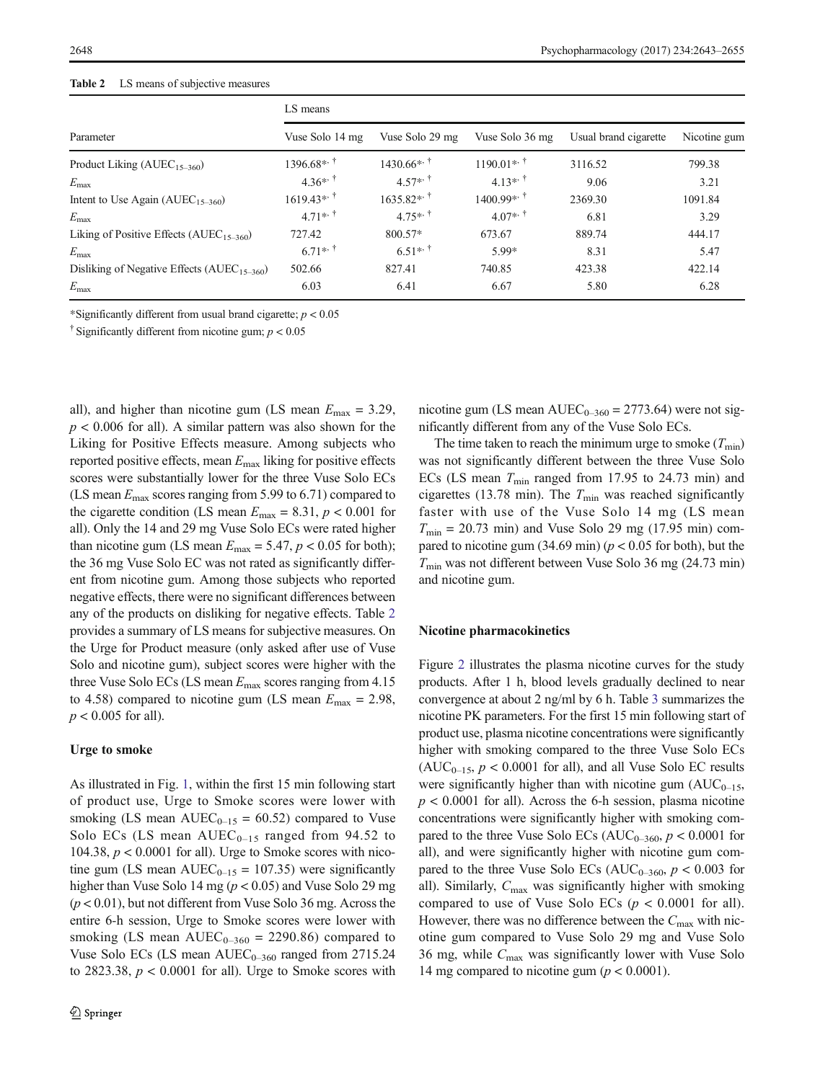# <span id="page-5-0"></span>Table 2 LS means of subjective measures

|                                                         | LS means        |                          |                       |                       |              |  |
|---------------------------------------------------------|-----------------|--------------------------|-----------------------|-----------------------|--------------|--|
| Parameter                                               | Vuse Solo 14 mg | Vuse Solo 29 mg          | Vuse Solo 36 mg       | Usual brand cigarette | Nicotine gum |  |
| Product Liking $(AUEC_{15-360})$                        | $1396.68**$     | $1430.66$ * <sup>*</sup> | $1190.01**$           | 3116.52               | 799.38       |  |
| $E_{\rm max}$                                           | $4.36^{*+1}$    | $4.57*$ <sup>†</sup>     | $4.13**$ <sup>†</sup> | 9.06                  | 3.21         |  |
| Intent to Use Again ( $AUEC_{15-360}$ )                 | $1619.43**$     | $1635.82**$              | $1400.99**$           | 2369.30               | 1091.84      |  |
| $E_{\rm max}$                                           | $4.71**$        | $4.75**$                 | $4.07**$              | 6.81                  | 3.29         |  |
| Liking of Positive Effects (AUEC <sub>15-360</sub> )    | 727.42          | 800.57*                  | 673.67                | 889.74                | 444.17       |  |
| $E_{\rm max}$                                           | $6.71**$        | $6.51**$ <sup>†</sup>    | 5.99*                 | 8.31                  | 5.47         |  |
| Disliking of Negative Effects (AUEC <sub>15-360</sub> ) | 502.66          | 827.41                   | 740.85                | 423.38                | 422.14       |  |
| $E_{\rm max}$                                           | 6.03            | 6.41                     | 6.67                  | 5.80                  | 6.28         |  |

\*Significantly different from usual brand cigarette;  $p < 0.05$ 

<sup>†</sup> Significantly different from nicotine gum;  $p < 0.05$ 

all), and higher than nicotine gum (LS mean  $E_{\text{max}} = 3.29$ ,  $p < 0.006$  for all). A similar pattern was also shown for the Liking for Positive Effects measure. Among subjects who reported positive effects, mean  $E_{\text{max}}$  liking for positive effects scores were substantially lower for the three Vuse Solo ECs (LS mean  $E_{\text{max}}$  scores ranging from 5.99 to 6.71) compared to the cigarette condition (LS mean  $E_{\text{max}} = 8.31, p < 0.001$  for all). Only the 14 and 29 mg Vuse Solo ECs were rated higher than nicotine gum (LS mean  $E_{\text{max}} = 5.47$ ,  $p < 0.05$  for both); the 36 mg Vuse Solo EC was not rated as significantly different from nicotine gum. Among those subjects who reported negative effects, there were no significant differences between any of the products on disliking for negative effects. Table 2 provides a summary of LS means for subjective measures. On the Urge for Product measure (only asked after use of Vuse Solo and nicotine gum), subject scores were higher with the three Vuse Solo ECs (LS mean  $E_{\text{max}}$  scores ranging from 4.15 to 4.58) compared to nicotine gum (LS mean  $E_{\text{max}} = 2.98$ ,  $p < 0.005$  for all).

# Urge to smoke

As illustrated in Fig. [1](#page-6-0), within the first 15 min following start of product use, Urge to Smoke scores were lower with smoking (LS mean  $AUEC_{0-15} = 60.52$ ) compared to Vuse Solo ECs (LS mean  $AUEC_{0-15}$  ranged from 94.52 to 104.38,  $p < 0.0001$  for all). Urge to Smoke scores with nicotine gum (LS mean  $AUEC_{0-15} = 107.35$ ) were significantly higher than Vuse Solo 14 mg (p < 0.05) and Vuse Solo 29 mg  $(p < 0.01)$ , but not different from Vuse Solo 36 mg. Across the entire 6-h session, Urge to Smoke scores were lower with smoking (LS mean  $AUEC_{0-360} = 2290.86$ ) compared to Vuse Solo ECs (LS mean  $AUEC_{0-360}$  ranged from 2715.24 to 2823.38,  $p < 0.0001$  for all). Urge to Smoke scores with nicotine gum (LS mean  $AUEC_{0-360} = 2773.64$ ) were not significantly different from any of the Vuse Solo ECs.

The time taken to reach the minimum urge to smoke  $(T_{\text{min}})$ was not significantly different between the three Vuse Solo ECs (LS mean  $T_{\text{min}}$  ranged from 17.95 to 24.73 min) and cigarettes (13.78 min). The  $T_{\text{min}}$  was reached significantly faster with use of the Vuse Solo 14 mg (LS mean  $T_{\text{min}}$  = 20.73 min) and Vuse Solo 29 mg (17.95 min) compared to nicotine gum  $(34.69 \text{ min}) (p < 0.05 \text{ for both})$ , but the  $T_{\text{min}}$  was not different between Vuse Solo 36 mg (24.73 min) and nicotine gum.

#### Nicotine pharmacokinetics

Figure [2](#page-7-0) illustrates the plasma nicotine curves for the study products. After 1 h, blood levels gradually declined to near convergence at about 2 ng/ml by 6 h. Table [3](#page-7-0) summarizes the nicotine PK parameters. For the first 15 min following start of product use, plasma nicotine concentrations were significantly higher with smoking compared to the three Vuse Solo ECs  $(AUC_{0-15}, p < 0.0001$  for all), and all Vuse Solo EC results were significantly higher than with nicotine gum  $(AUC_{0-15}$ ,  $p < 0.0001$  for all). Across the 6-h session, plasma nicotine concentrations were significantly higher with smoking compared to the three Vuse Solo ECs ( $AUC_{0-360}$ ,  $p < 0.0001$  for all), and were significantly higher with nicotine gum compared to the three Vuse Solo ECs ( $AUC_{0-360}$ ,  $p < 0.003$  for all). Similarly,  $C_{\text{max}}$  was significantly higher with smoking compared to use of Vuse Solo ECs ( $p < 0.0001$  for all). However, there was no difference between the  $C_{\text{max}}$  with nicotine gum compared to Vuse Solo 29 mg and Vuse Solo 36 mg, while  $C_{\text{max}}$  was significantly lower with Vuse Solo 14 mg compared to nicotine gum ( $p < 0.0001$ ).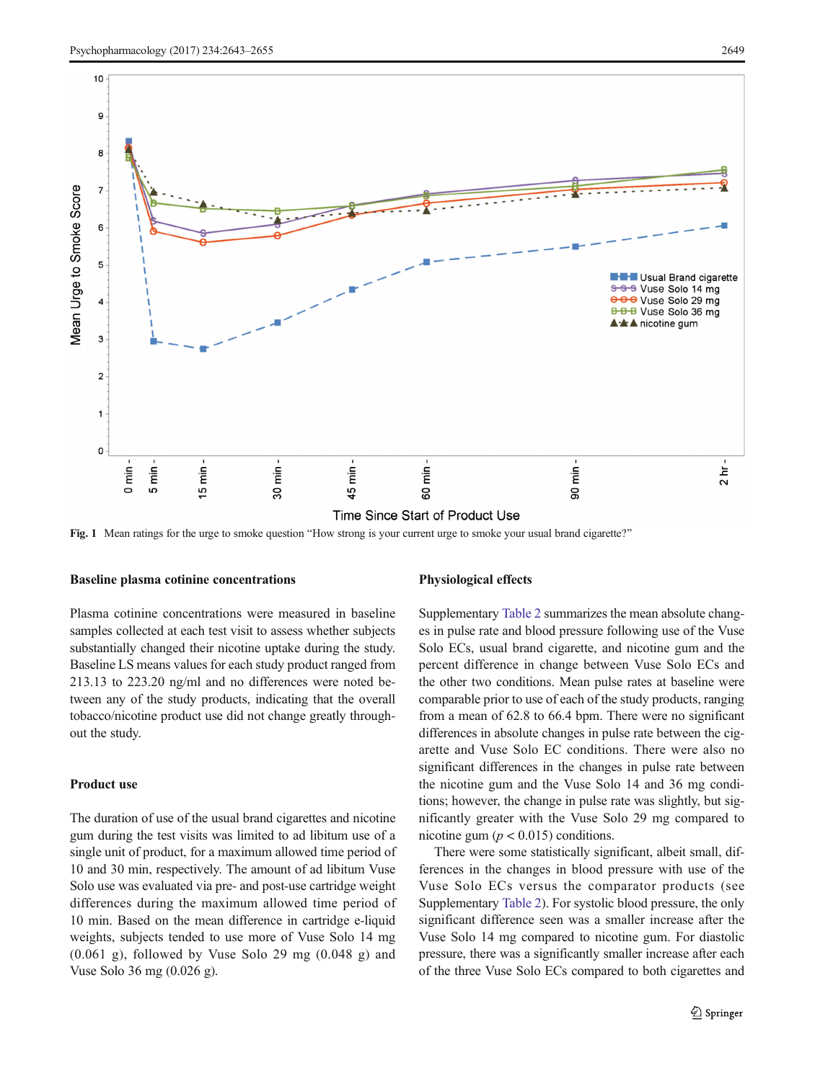<span id="page-6-0"></span>

Fig. 1 Mean ratings for the urge to smoke question "How strong is your current urge to smoke your usual brand cigarette?"

#### Baseline plasma cotinine concentrations

Plasma cotinine concentrations were measured in baseline samples collected at each test visit to assess whether subjects substantially changed their nicotine uptake during the study. Baseline LS means values for each study product ranged from 213.13 to 223.20 ng/ml and no differences were noted between any of the study products, indicating that the overall tobacco/nicotine product use did not change greatly throughout the study.

# Product use

The duration of use of the usual brand cigarettes and nicotine gum during the test visits was limited to ad libitum use of a single unit of product, for a maximum allowed time period of 10 and 30 min, respectively. The amount of ad libitum Vuse Solo use was evaluated via pre- and post-use cartridge weight differences during the maximum allowed time period of 10 min. Based on the mean difference in cartridge e-liquid weights, subjects tended to use more of Vuse Solo 14 mg (0.061 g), followed by Vuse Solo 29 mg (0.048 g) and Vuse Solo 36 mg (0.026 g).

#### Physiological effects

Supplementary Table 2 summarizes the mean absolute changes in pulse rate and blood pressure following use of the Vuse Solo ECs, usual brand cigarette, and nicotine gum and the percent difference in change between Vuse Solo ECs and the other two conditions. Mean pulse rates at baseline were comparable prior to use of each of the study products, ranging from a mean of 62.8 to 66.4 bpm. There were no significant differences in absolute changes in pulse rate between the cigarette and Vuse Solo EC conditions. There were also no significant differences in the changes in pulse rate between the nicotine gum and the Vuse Solo 14 and 36 mg conditions; however, the change in pulse rate was slightly, but significantly greater with the Vuse Solo 29 mg compared to nicotine gum ( $p < 0.015$ ) conditions.

There were some statistically significant, albeit small, differences in the changes in blood pressure with use of the Vuse Solo ECs versus the comparator products (see Supplementary Table 2). For systolic blood pressure, the only significant difference seen was a smaller increase after the Vuse Solo 14 mg compared to nicotine gum. For diastolic pressure, there was a significantly smaller increase after each of the three Vuse Solo ECs compared to both cigarettes and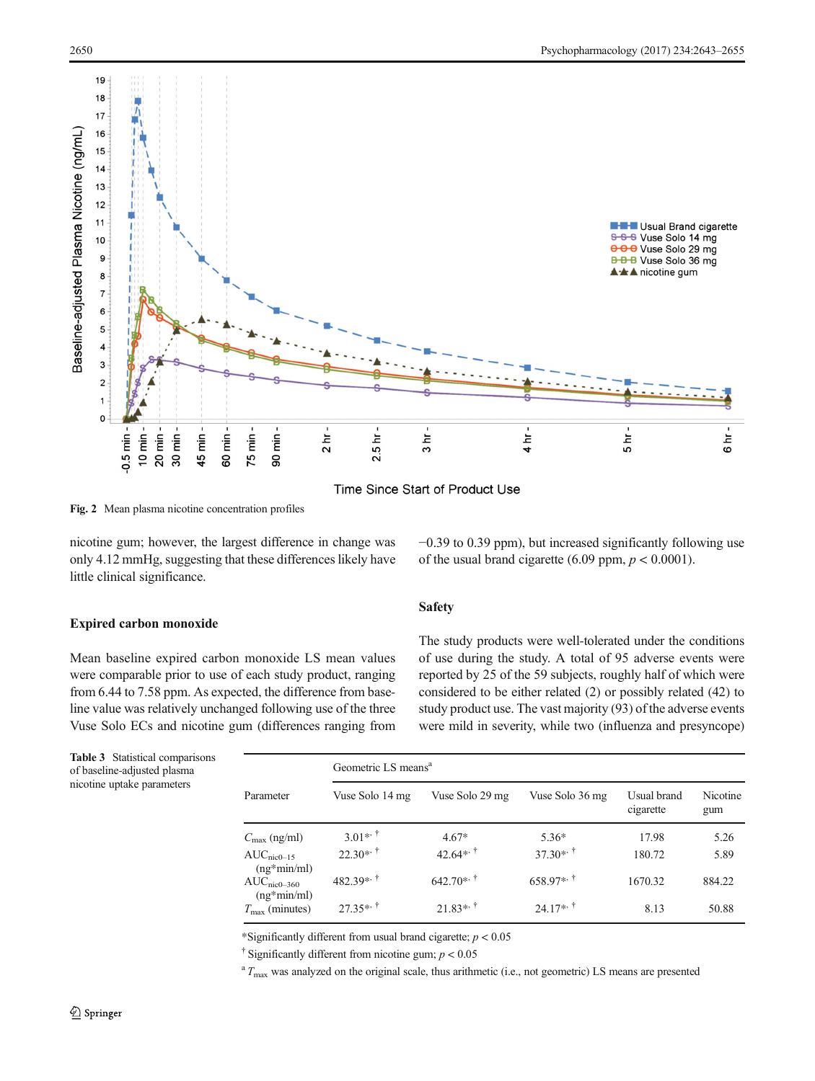<span id="page-7-0"></span>

Time Since Start of Product Use

Fig. 2 Mean plasma nicotine concentration profiles

nicotine gum; however, the largest difference in change was only 4.12 mmHg, suggesting that these differences likely have little clinical significance.

# Expired carbon monoxide

Mean baseline expired carbon monoxide LS mean values were comparable prior to use of each study product, ranging from 6.44 to 7.58 ppm. As expected, the difference from baseline value was relatively unchanged following use of the three Vuse Solo ECs and nicotine gum (differences ranging from −0.39 to 0.39 ppm), but increased significantly following use of the usual brand cigarette (6.09 ppm,  $p < 0.0001$ ).

# Safety

The study products were well-tolerated under the conditions of use during the study. A total of 95 adverse events were reported by 25 of the 59 subjects, roughly half of which were considered to be either related (2) or possibly related (42) to study product use. The vast majority (93) of the adverse events were mild in severity, while two (influenza and presyncope)

Table 3 Statistical comparisons of baseline-adjusted plasma nicotine uptake parameters

| Parameter                      | Geometric LS means <sup>a</sup> |                        |                 |                          |                 |  |
|--------------------------------|---------------------------------|------------------------|-----------------|--------------------------|-----------------|--|
|                                | Vuse Solo 14 mg                 | Vuse Solo 29 mg        | Vuse Solo 36 mg | Usual brand<br>cigarette | Nicotine<br>gum |  |
| $C_{\text{max}}$ (ng/ml)       | 3.01 <sup>**</sup>              | $4.67*$                | $5.36*$         | 17.98                    | 5.26            |  |
| $AUCnic0-15$<br>$(ng*min/ml)$  | $22.30**$                       | 42.64 <sup>**</sup>    | $37.30**$       | 180.72                   | 5.89            |  |
| $AUCnic0-360$<br>$(ng*min/ml)$ | $482.39**$                      | $642.70**$             | $658.97**$      | 1670.32                  | 884.22          |  |
| $T_{\text{max}}$ (minutes)     | $27.35**$                       | $21.83**$ <sup>†</sup> | $24.17**$       | 8.13                     | 50.88           |  |

\*Significantly different from usual brand cigarette;  $p < 0.05$ 

<sup>†</sup> Significantly different from nicotine gum;  $p < 0.05$ 

 $T_{\text{max}}$  was analyzed on the original scale, thus arithmetic (i.e., not geometric) LS means are presented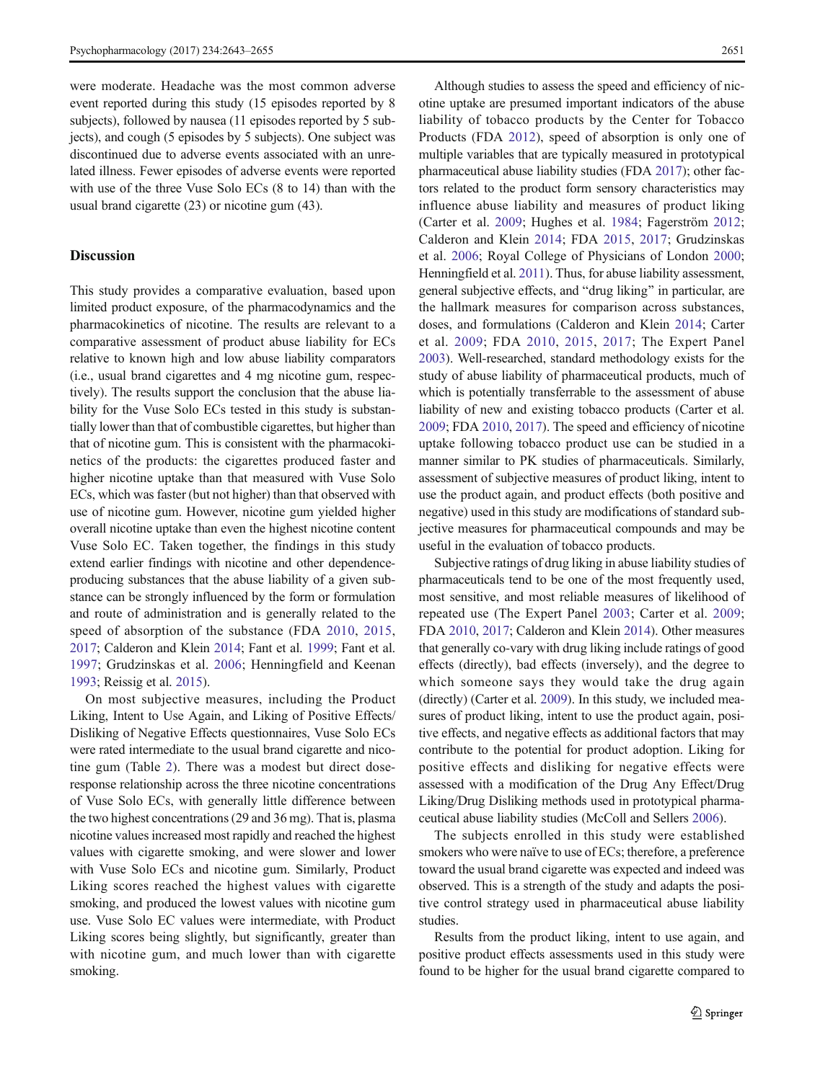were moderate. Headache was the most common adverse event reported during this study (15 episodes reported by 8 subjects), followed by nausea (11 episodes reported by 5 subjects), and cough (5 episodes by 5 subjects). One subject was discontinued due to adverse events associated with an unrelated illness. Fewer episodes of adverse events were reported with use of the three Vuse Solo ECs (8 to 14) than with the usual brand cigarette (23) or nicotine gum (43).

# **Discussion**

This study provides a comparative evaluation, based upon limited product exposure, of the pharmacodynamics and the pharmacokinetics of nicotine. The results are relevant to a comparative assessment of product abuse liability for ECs relative to known high and low abuse liability comparators (i.e., usual brand cigarettes and 4 mg nicotine gum, respectively). The results support the conclusion that the abuse liability for the Vuse Solo ECs tested in this study is substantially lower than that of combustible cigarettes, but higher than that of nicotine gum. This is consistent with the pharmacokinetics of the products: the cigarettes produced faster and higher nicotine uptake than that measured with Vuse Solo ECs, which was faster (but not higher) than that observed with use of nicotine gum. However, nicotine gum yielded higher overall nicotine uptake than even the highest nicotine content Vuse Solo EC. Taken together, the findings in this study extend earlier findings with nicotine and other dependenceproducing substances that the abuse liability of a given substance can be strongly influenced by the form or formulation and route of administration and is generally related to the speed of absorption of the substance (FDA [2010](#page-11-0), [2015,](#page-11-0) [2017;](#page-11-0) Calderon and Klein [2014](#page-10-0); Fant et al. [1999;](#page-10-0) Fant et al. [1997](#page-10-0); Grudzinskas et al. [2006;](#page-11-0) Henningfield and Keenan [1993;](#page-11-0) Reissig et al. [2015](#page-11-0)).

On most subjective measures, including the Product Liking, Intent to Use Again, and Liking of Positive Effects/ Disliking of Negative Effects questionnaires, Vuse Solo ECs were rated intermediate to the usual brand cigarette and nicotine gum (Table [2](#page-5-0)). There was a modest but direct doseresponse relationship across the three nicotine concentrations of Vuse Solo ECs, with generally little difference between the two highest concentrations (29 and 36 mg). That is, plasma nicotine values increased most rapidly and reached the highest values with cigarette smoking, and were slower and lower with Vuse Solo ECs and nicotine gum. Similarly, Product Liking scores reached the highest values with cigarette smoking, and produced the lowest values with nicotine gum use. Vuse Solo EC values were intermediate, with Product Liking scores being slightly, but significantly, greater than with nicotine gum, and much lower than with cigarette smoking.

Although studies to assess the speed and efficiency of nicotine uptake are presumed important indicators of the abuse liability of tobacco products by the Center for Tobacco Products (FDA [2012\)](#page-11-0), speed of absorption is only one of multiple variables that are typically measured in prototypical pharmaceutical abuse liability studies (FDA [2017\)](#page-11-0); other factors related to the product form sensory characteristics may influence abuse liability and measures of product liking (Carter et al. [2009;](#page-10-0) Hughes et al. [1984](#page-11-0); Fagerström [2012;](#page-10-0) Calderon and Klein [2014;](#page-10-0) FDA [2015](#page-11-0), [2017;](#page-11-0) Grudzinskas et al. [2006;](#page-11-0) Royal College of Physicians of London [2000;](#page-11-0) Henningfield et al. [2011\)](#page-11-0). Thus, for abuse liability assessment, general subjective effects, and "drug liking" in particular, are the hallmark measures for comparison across substances, doses, and formulations (Calderon and Klein [2014](#page-10-0); Carter et al. [2009](#page-10-0); FDA [2010](#page-11-0), [2015](#page-11-0), [2017;](#page-11-0) The Expert Panel [2003\)](#page-12-0). Well-researched, standard methodology exists for the study of abuse liability of pharmaceutical products, much of which is potentially transferrable to the assessment of abuse liability of new and existing tobacco products (Carter et al. [2009;](#page-10-0) FDA [2010](#page-11-0), [2017](#page-11-0)). The speed and efficiency of nicotine uptake following tobacco product use can be studied in a manner similar to PK studies of pharmaceuticals. Similarly, assessment of subjective measures of product liking, intent to use the product again, and product effects (both positive and negative) used in this study are modifications of standard subjective measures for pharmaceutical compounds and may be useful in the evaluation of tobacco products.

Subjective ratings of drug liking in abuse liability studies of pharmaceuticals tend to be one of the most frequently used, most sensitive, and most reliable measures of likelihood of repeated use (The Expert Panel [2003](#page-12-0); Carter et al. [2009;](#page-10-0) FDA [2010,](#page-11-0) [2017](#page-11-0); Calderon and Klein [2014\)](#page-10-0). Other measures that generally co-vary with drug liking include ratings of good effects (directly), bad effects (inversely), and the degree to which someone says they would take the drug again (directly) (Carter et al. [2009\)](#page-10-0). In this study, we included measures of product liking, intent to use the product again, positive effects, and negative effects as additional factors that may contribute to the potential for product adoption. Liking for positive effects and disliking for negative effects were assessed with a modification of the Drug Any Effect/Drug Liking/Drug Disliking methods used in prototypical pharmaceutical abuse liability studies (McColl and Sellers [2006\)](#page-11-0).

The subjects enrolled in this study were established smokers who were naïve to use of ECs; therefore, a preference toward the usual brand cigarette was expected and indeed was observed. This is a strength of the study and adapts the positive control strategy used in pharmaceutical abuse liability studies.

Results from the product liking, intent to use again, and positive product effects assessments used in this study were found to be higher for the usual brand cigarette compared to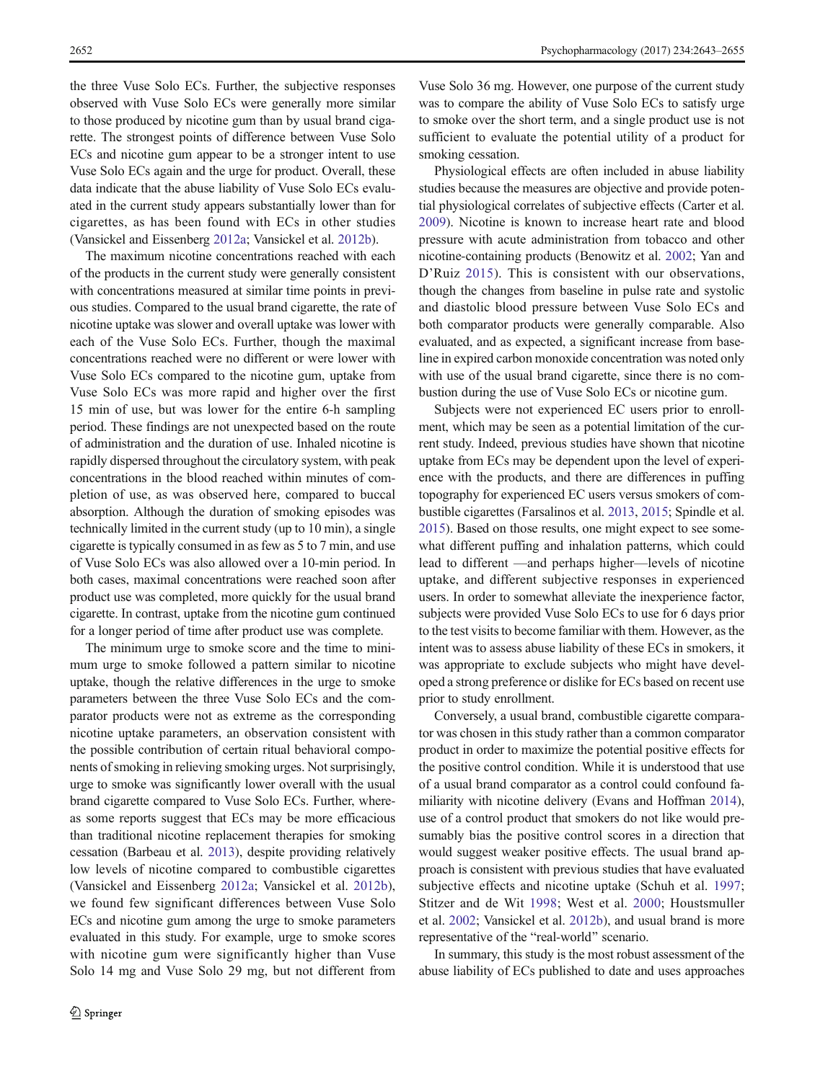the three Vuse Solo ECs. Further, the subjective responses observed with Vuse Solo ECs were generally more similar to those produced by nicotine gum than by usual brand cigarette. The strongest points of difference between Vuse Solo ECs and nicotine gum appear to be a stronger intent to use Vuse Solo ECs again and the urge for product. Overall, these data indicate that the abuse liability of Vuse Solo ECs evaluated in the current study appears substantially lower than for cigarettes, as has been found with ECs in other studies (Vansickel and Eissenberg [2012a;](#page-12-0) Vansickel et al. [2012b](#page-12-0)).

The maximum nicotine concentrations reached with each of the products in the current study were generally consistent with concentrations measured at similar time points in previous studies. Compared to the usual brand cigarette, the rate of nicotine uptake was slower and overall uptake was lower with each of the Vuse Solo ECs. Further, though the maximal concentrations reached were no different or were lower with Vuse Solo ECs compared to the nicotine gum, uptake from Vuse Solo ECs was more rapid and higher over the first 15 min of use, but was lower for the entire 6-h sampling period. These findings are not unexpected based on the route of administration and the duration of use. Inhaled nicotine is rapidly dispersed throughout the circulatory system, with peak concentrations in the blood reached within minutes of completion of use, as was observed here, compared to buccal absorption. Although the duration of smoking episodes was technically limited in the current study (up to 10 min), a single cigarette is typically consumed in as few as 5 to 7 min, and use of Vuse Solo ECs was also allowed over a 10-min period. In both cases, maximal concentrations were reached soon after product use was completed, more quickly for the usual brand cigarette. In contrast, uptake from the nicotine gum continued for a longer period of time after product use was complete.

The minimum urge to smoke score and the time to minimum urge to smoke followed a pattern similar to nicotine uptake, though the relative differences in the urge to smoke parameters between the three Vuse Solo ECs and the comparator products were not as extreme as the corresponding nicotine uptake parameters, an observation consistent with the possible contribution of certain ritual behavioral components of smoking in relieving smoking urges. Not surprisingly, urge to smoke was significantly lower overall with the usual brand cigarette compared to Vuse Solo ECs. Further, whereas some reports suggest that ECs may be more efficacious than traditional nicotine replacement therapies for smoking cessation (Barbeau et al. [2013\)](#page-10-0), despite providing relatively low levels of nicotine compared to combustible cigarettes (Vansickel and Eissenberg [2012a;](#page-12-0) Vansickel et al. [2012b](#page-12-0)), we found few significant differences between Vuse Solo ECs and nicotine gum among the urge to smoke parameters evaluated in this study. For example, urge to smoke scores with nicotine gum were significantly higher than Vuse Solo 14 mg and Vuse Solo 29 mg, but not different from

Vuse Solo 36 mg. However, one purpose of the current study was to compare the ability of Vuse Solo ECs to satisfy urge to smoke over the short term, and a single product use is not sufficient to evaluate the potential utility of a product for smoking cessation.

Physiological effects are often included in abuse liability studies because the measures are objective and provide potential physiological correlates of subjective effects (Carter et al. [2009](#page-10-0)). Nicotine is known to increase heart rate and blood pressure with acute administration from tobacco and other nicotine-containing products (Benowitz et al. [2002;](#page-10-0) Yan and D'Ruiz [2015](#page-12-0)). This is consistent with our observations, though the changes from baseline in pulse rate and systolic and diastolic blood pressure between Vuse Solo ECs and both comparator products were generally comparable. Also evaluated, and as expected, a significant increase from baseline in expired carbon monoxide concentration was noted only with use of the usual brand cigarette, since there is no combustion during the use of Vuse Solo ECs or nicotine gum.

Subjects were not experienced EC users prior to enrollment, which may be seen as a potential limitation of the current study. Indeed, previous studies have shown that nicotine uptake from ECs may be dependent upon the level of experience with the products, and there are differences in puffing topography for experienced EC users versus smokers of combustible cigarettes (Farsalinos et al. [2013](#page-11-0), [2015](#page-11-0); Spindle et al. [2015\)](#page-12-0). Based on those results, one might expect to see somewhat different puffing and inhalation patterns, which could lead to different —and perhaps higher—levels of nicotine uptake, and different subjective responses in experienced users. In order to somewhat alleviate the inexperience factor, subjects were provided Vuse Solo ECs to use for 6 days prior to the test visits to become familiar with them. However, as the intent was to assess abuse liability of these ECs in smokers, it was appropriate to exclude subjects who might have developed a strong preference or dislike for ECs based on recent use prior to study enrollment.

Conversely, a usual brand, combustible cigarette comparator was chosen in this study rather than a common comparator product in order to maximize the potential positive effects for the positive control condition. While it is understood that use of a usual brand comparator as a control could confound familiarity with nicotine delivery (Evans and Hoffman [2014\)](#page-10-0), use of a control product that smokers do not like would presumably bias the positive control scores in a direction that would suggest weaker positive effects. The usual brand approach is consistent with previous studies that have evaluated subjective effects and nicotine uptake (Schuh et al. [1997;](#page-11-0) Stitzer and de Wit [1998](#page-12-0); West et al. [2000](#page-12-0); Houstsmuller et al. [2002;](#page-11-0) Vansickel et al. [2012b\)](#page-12-0), and usual brand is more representative of the "real-world" scenario.

In summary, this study is the most robust assessment of the abuse liability of ECs published to date and uses approaches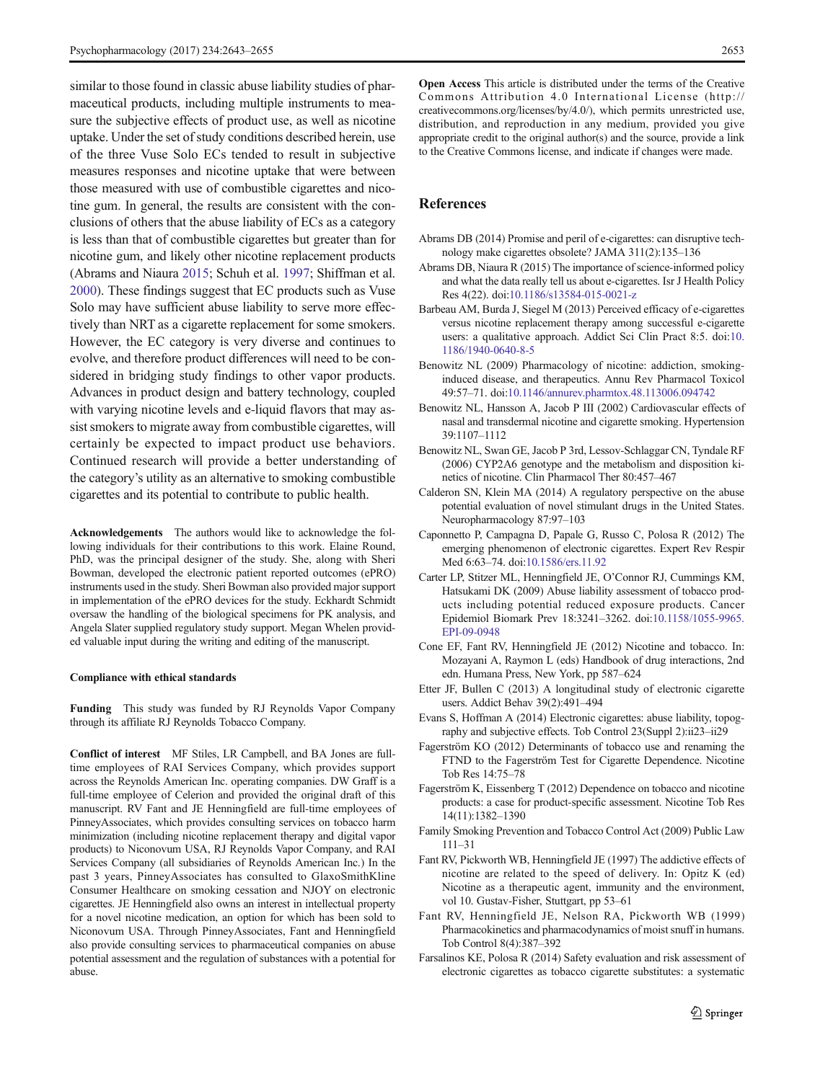<span id="page-10-0"></span>similar to those found in classic abuse liability studies of pharmaceutical products, including multiple instruments to measure the subjective effects of product use, as well as nicotine uptake. Under the set of study conditions described herein, use of the three Vuse Solo ECs tended to result in subjective measures responses and nicotine uptake that were between those measured with use of combustible cigarettes and nicotine gum. In general, the results are consistent with the conclusions of others that the abuse liability of ECs as a category is less than that of combustible cigarettes but greater than for nicotine gum, and likely other nicotine replacement products (Abrams and Niaura 2015; Schuh et al. [1997](#page-11-0); Shiffman et al. [2000\)](#page-11-0). These findings suggest that EC products such as Vuse Solo may have sufficient abuse liability to serve more effectively than NRT as a cigarette replacement for some smokers. However, the EC category is very diverse and continues to evolve, and therefore product differences will need to be considered in bridging study findings to other vapor products. Advances in product design and battery technology, coupled with varying nicotine levels and e-liquid flavors that may assist smokers to migrate away from combustible cigarettes, will certainly be expected to impact product use behaviors. Continued research will provide a better understanding of the category's utility as an alternative to smoking combustible cigarettes and its potential to contribute to public health.

Acknowledgements The authors would like to acknowledge the following individuals for their contributions to this work. Elaine Round, PhD, was the principal designer of the study. She, along with Sheri Bowman, developed the electronic patient reported outcomes (ePRO) instruments used in the study. Sheri Bowman also provided major support in implementation of the ePRO devices for the study. Eckhardt Schmidt oversaw the handling of the biological specimens for PK analysis, and Angela Slater supplied regulatory study support. Megan Whelen provided valuable input during the writing and editing of the manuscript.

#### Compliance with ethical standards

Funding This study was funded by RJ Reynolds Vapor Company through its affiliate RJ Reynolds Tobacco Company.

Conflict of interest MF Stiles, LR Campbell, and BA Jones are fulltime employees of RAI Services Company, which provides support across the Reynolds American Inc. operating companies. DW Graff is a full-time employee of Celerion and provided the original draft of this manuscript. RV Fant and JE Henningfield are full-time employees of PinneyAssociates, which provides consulting services on tobacco harm minimization (including nicotine replacement therapy and digital vapor products) to Niconovum USA, RJ Reynolds Vapor Company, and RAI Services Company (all subsidiaries of Reynolds American Inc.) In the past 3 years, PinneyAssociates has consulted to GlaxoSmithKline Consumer Healthcare on smoking cessation and NJOY on electronic cigarettes. JE Henningfield also owns an interest in intellectual property for a novel nicotine medication, an option for which has been sold to Niconovum USA. Through PinneyAssociates, Fant and Henningfield also provide consulting services to pharmaceutical companies on abuse potential assessment and the regulation of substances with a potential for abuse.

Open Access This article is distributed under the terms of the Creative Commons Attribution 4.0 International License (http:// creativecommons.org/licenses/by/4.0/), which permits unrestricted use, distribution, and reproduction in any medium, provided you give appropriate credit to the original author(s) and the source, provide a link to the Creative Commons license, and indicate if changes were made.

# **References**

- Abrams DB (2014) Promise and peril of e-cigarettes: can disruptive technology make cigarettes obsolete? JAMA 311(2):135–136
- Abrams DB, Niaura R (2015) The importance of science-informed policy and what the data really tell us about e-cigarettes. Isr J Health Policy Res 4(22). doi[:10.1186/s13584-015-0021-z](http://dx.doi.org/10.1186/s13584-015-0021-z)
- Barbeau AM, Burda J, Siegel M (2013) Perceived efficacy of e-cigarettes versus nicotine replacement therapy among successful e-cigarette users: a qualitative approach. Addict Sci Clin Pract 8:5. doi:[10.](http://dx.doi.org/10.1186/1940-0640-8-5) [1186/1940-0640-8-5](http://dx.doi.org/10.1186/1940-0640-8-5)
- Benowitz NL (2009) Pharmacology of nicotine: addiction, smokinginduced disease, and therapeutics. Annu Rev Pharmacol Toxicol 49:57–71. doi[:10.1146/annurev.pharmtox.48.113006.094742](http://dx.doi.org/10.1146/annurev.pharmtox.48.113006.094742)
- Benowitz NL, Hansson A, Jacob P III (2002) Cardiovascular effects of nasal and transdermal nicotine and cigarette smoking. Hypertension 39:1107–1112
- Benowitz NL, Swan GE, Jacob P 3rd, Lessov-Schlaggar CN, Tyndale RF (2006) CYP2A6 genotype and the metabolism and disposition kinetics of nicotine. Clin Pharmacol Ther 80:457–467
- Calderon SN, Klein MA (2014) A regulatory perspective on the abuse potential evaluation of novel stimulant drugs in the United States. Neuropharmacology 87:97–103
- Caponnetto P, Campagna D, Papale G, Russo C, Polosa R (2012) The emerging phenomenon of electronic cigarettes. Expert Rev Respir Med 6:63–74. doi[:10.1586/ers.11.92](http://dx.doi.org/10.1586/ers.11.92)
- Carter LP, Stitzer ML, Henningfield JE, O'Connor RJ, Cummings KM, Hatsukami DK (2009) Abuse liability assessment of tobacco products including potential reduced exposure products. Cancer Epidemiol Biomark Prev 18:3241–3262. doi[:10.1158/1055-9965.](http://dx.doi.org/10.1158/1055-9965.EPI-09-0948) [EPI-09-0948](http://dx.doi.org/10.1158/1055-9965.EPI-09-0948)
- Cone EF, Fant RV, Henningfield JE (2012) Nicotine and tobacco. In: Mozayani A, Raymon L (eds) Handbook of drug interactions, 2nd edn. Humana Press, New York, pp 587–624
- Etter JF, Bullen C (2013) A longitudinal study of electronic cigarette users. Addict Behav 39(2):491–494
- Evans S, Hoffman A (2014) Electronic cigarettes: abuse liability, topography and subjective effects. Tob Control 23(Suppl 2):ii23–ii29
- Fagerström KO (2012) Determinants of tobacco use and renaming the FTND to the Fagerström Test for Cigarette Dependence. Nicotine Tob Res 14:75–78
- Fagerström K, Eissenberg T (2012) Dependence on tobacco and nicotine products: a case for product-specific assessment. Nicotine Tob Res 14(11):1382–1390
- Family Smoking Prevention and Tobacco Control Act (2009) Public Law 111–31
- Fant RV, Pickworth WB, Henningfield JE (1997) The addictive effects of nicotine are related to the speed of delivery. In: Opitz K (ed) Nicotine as a therapeutic agent, immunity and the environment, vol 10. Gustav-Fisher, Stuttgart, pp 53–61
- Fant RV, Henningfield JE, Nelson RA, Pickworth WB (1999) Pharmacokinetics and pharmacodynamics of moist snuff in humans. Tob Control 8(4):387–392
- Farsalinos KE, Polosa R (2014) Safety evaluation and risk assessment of electronic cigarettes as tobacco cigarette substitutes: a systematic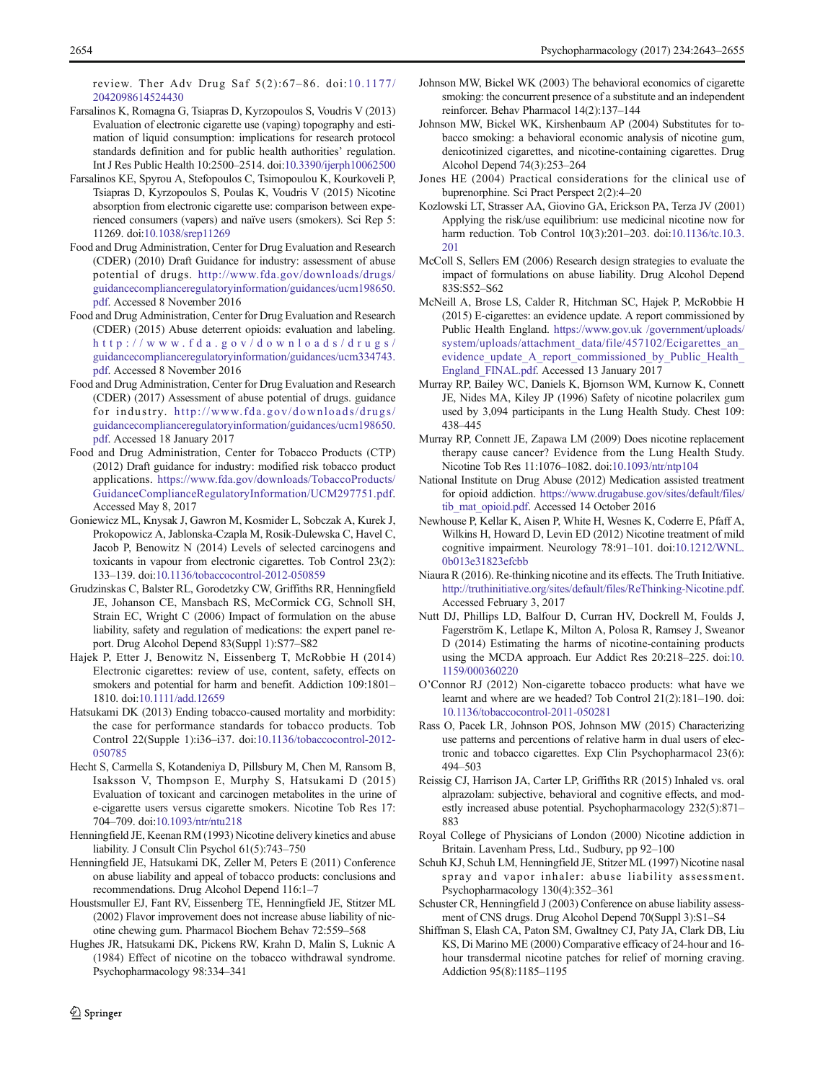<span id="page-11-0"></span>review. Ther Adv Drug Saf 5(2):67–86. doi:[10.1177/](http://dx.doi.org/10.1177/2042098614524430) [2042098614524430](http://dx.doi.org/10.1177/2042098614524430)

- Farsalinos K, Romagna G, Tsiapras D, Kyrzopoulos S, Voudris V (2013) Evaluation of electronic cigarette use (vaping) topography and estimation of liquid consumption: implications for research protocol standards definition and for public health authorities' regulation. Int J Res Public Health 10:2500–2514. doi[:10.3390/ijerph10062500](http://dx.doi.org/10.3390/ijerph10062500)
- Farsalinos KE, Spyrou A, Stefopoulos C, Tsimopoulou K, Kourkoveli P, Tsiapras D, Kyrzopoulos S, Poulas K, Voudris V (2015) Nicotine absorption from electronic cigarette use: comparison between experienced consumers (vapers) and naïve users (smokers). Sci Rep 5: 11269. doi[:10.1038/srep11269](http://dx.doi.org/10.1038/srep11269)
- Food and Drug Administration, Center for Drug Evaluation and Research (CDER) (2010) Draft Guidance for industry: assessment of abuse potential of drugs. [http://www.fda.gov/downloads/drugs/](http://www.fda.gov/downloads/drugs/guidancecomplianceregulatoryinformation/guidances/ucm198650.pdf) [guidancecomplianceregulatoryinformation/guidances/ucm198650.](http://www.fda.gov/downloads/drugs/guidancecomplianceregulatoryinformation/guidances/ucm198650.pdf) [pdf.](http://www.fda.gov/downloads/drugs/guidancecomplianceregulatoryinformation/guidances/ucm198650.pdf) Accessed 8 November 2016
- Food and Drug Administration, Center for Drug Evaluation and Research (CDER) (2015) Abuse deterrent opioids: evaluation and labeling. [http://www.fda.gov/downloads/drugs/](http://www.fda.gov/downloads/drugs/guidancecomplianceregulatoryinformation/guidances/ucm334743.pdf) [guidancecomplianceregulatoryinformation/guidances/ucm334743.](http://www.fda.gov/downloads/drugs/guidancecomplianceregulatoryinformation/guidances/ucm334743.pdf) [pdf.](http://www.fda.gov/downloads/drugs/guidancecomplianceregulatoryinformation/guidances/ucm334743.pdf) Accessed 8 November 2016
- Food and Drug Administration, Center for Drug Evaluation and Research (CDER) (2017) Assessment of abuse potential of drugs. guidance for industry. [http://www.fda.gov/downloads/drugs/](http://www.fda.gov/downloads/drugs/guidancecomplianceregulatoryinformation/guidances/ucm198650.pdf) [guidancecomplianceregulatoryinformation/guidances/ucm198650.](http://www.fda.gov/downloads/drugs/guidancecomplianceregulatoryinformation/guidances/ucm198650.pdf) [pdf.](http://www.fda.gov/downloads/drugs/guidancecomplianceregulatoryinformation/guidances/ucm198650.pdf) Accessed 18 January 2017
- Food and Drug Administration, Center for Tobacco Products (CTP) (2012) Draft guidance for industry: modified risk tobacco product applications. [https://www.fda.gov/downloads/TobaccoProducts/](https://www.fda.gov/downloads/TobaccoProducts/GuidanceComplianceRegulatoryInformation/UCM297751.pdf) [GuidanceComplianceRegulatoryInformation/UCM297751.pdf.](https://www.fda.gov/downloads/TobaccoProducts/GuidanceComplianceRegulatoryInformation/UCM297751.pdf) Accessed May 8, 2017
- Goniewicz ML, Knysak J, Gawron M, Kosmider L, Sobczak A, Kurek J, Prokopowicz A, Jablonska-Czapla M, Rosik-Dulewska C, Havel C, Jacob P, Benowitz N (2014) Levels of selected carcinogens and toxicants in vapour from electronic cigarettes. Tob Control 23(2): 133–139. doi[:10.1136/tobaccocontrol-2012-050859](http://dx.doi.org/10.1136/tobaccocontrol-2012-050859)
- Grudzinskas C, Balster RL, Gorodetzky CW, Griffiths RR, Henningfield JE, Johanson CE, Mansbach RS, McCormick CG, Schnoll SH, Strain EC, Wright C (2006) Impact of formulation on the abuse liability, safety and regulation of medications: the expert panel report. Drug Alcohol Depend 83(Suppl 1):S77–S82
- Hajek P, Etter J, Benowitz N, Eissenberg T, McRobbie H (2014) Electronic cigarettes: review of use, content, safety, effects on smokers and potential for harm and benefit. Addiction 109:1801– 1810. doi[:10.1111/add.12659](http://dx.doi.org/10.1111/add.12659)
- Hatsukami DK (2013) Ending tobacco-caused mortality and morbidity: the case for performance standards for tobacco products. Tob Control 22(Supple 1):i36–i37. doi:[10.1136/tobaccocontrol-2012-](http://dx.doi.org/10.1136/tobaccocontrol-2012-050785) [050785](http://dx.doi.org/10.1136/tobaccocontrol-2012-050785)
- Hecht S, Carmella S, Kotandeniya D, Pillsbury M, Chen M, Ransom B, Isaksson V, Thompson E, Murphy S, Hatsukami D (2015) Evaluation of toxicant and carcinogen metabolites in the urine of e-cigarette users versus cigarette smokers. Nicotine Tob Res 17: 704–709. doi[:10.1093/ntr/ntu218](http://dx.doi.org/10.1093/ntr/ntu218)
- Henningfield JE, Keenan RM (1993) Nicotine delivery kinetics and abuse liability. J Consult Clin Psychol 61(5):743–750
- Henningfield JE, Hatsukami DK, Zeller M, Peters E (2011) Conference on abuse liability and appeal of tobacco products: conclusions and recommendations. Drug Alcohol Depend 116:1–7
- Houstsmuller EJ, Fant RV, Eissenberg TE, Henningfield JE, Stitzer ML (2002) Flavor improvement does not increase abuse liability of nicotine chewing gum. Pharmacol Biochem Behav 72:559–568
- Hughes JR, Hatsukami DK, Pickens RW, Krahn D, Malin S, Luknic A (1984) Effect of nicotine on the tobacco withdrawal syndrome. Psychopharmacology 98:334–341
- Johnson MW, Bickel WK (2003) The behavioral economics of cigarette smoking: the concurrent presence of a substitute and an independent reinforcer. Behav Pharmacol 14(2):137–144
- Johnson MW, Bickel WK, Kirshenbaum AP (2004) Substitutes for tobacco smoking: a behavioral economic analysis of nicotine gum, denicotinized cigarettes, and nicotine-containing cigarettes. Drug Alcohol Depend 74(3):253–264
- Jones HE (2004) Practical considerations for the clinical use of buprenorphine. Sci Pract Perspect 2(2):4–20
- Kozlowski LT, Strasser AA, Giovino GA, Erickson PA, Terza JV (2001) Applying the risk/use equilibrium: use medicinal nicotine now for harm reduction. Tob Control 10(3):201-203. doi:[10.1136/tc.10.3.](http://dx.doi.org/10.1136/tc.10.3.201) [201](http://dx.doi.org/10.1136/tc.10.3.201)
- McColl S, Sellers EM (2006) Research design strategies to evaluate the impact of formulations on abuse liability. Drug Alcohol Depend 83S:S52–S62
- McNeill A, Brose LS, Calder R, Hitchman SC, Hajek P, McRobbie H (2015) E-cigarettes: an evidence update. A report commissioned by Public Health England. [https://www.gov.uk /government/uploads/](https://www.gov.uk/) [system/uploads/attachment\\_data/file/457102/Ecigarettes\\_an\\_](https://www.gov.uk/) evidence update A report commissioned by Public Health [England\\_FINAL.pdf.](https://www.gov.uk/) Accessed 13 January 2017
- Murray RP, Bailey WC, Daniels K, Bjornson WM, Kurnow K, Connett JE, Nides MA, Kiley JP (1996) Safety of nicotine polacrilex gum used by 3,094 participants in the Lung Health Study. Chest 109: 438–445
- Murray RP, Connett JE, Zapawa LM (2009) Does nicotine replacement therapy cause cancer? Evidence from the Lung Health Study. Nicotine Tob Res 11:1076–1082. doi[:10.1093/ntr/ntp104](http://dx.doi.org/10.1093/ntr/ntp104)
- National Institute on Drug Abuse (2012) Medication assisted treatment for opioid addiction. [https://www.drugabuse.gov/sites/default/files/](https://www.drugabuse.gov/sites/default/files/tib_mat_opioid.pdf) [tib\\_mat\\_opioid.pdf.](https://www.drugabuse.gov/sites/default/files/tib_mat_opioid.pdf) Accessed 14 October 2016
- Newhouse P, Kellar K, Aisen P, White H, Wesnes K, Coderre E, Pfaff A, Wilkins H, Howard D, Levin ED (2012) Nicotine treatment of mild cognitive impairment. Neurology 78:91–101. doi:[10.1212/WNL.](http://dx.doi.org/10.1212/WNL.0b013e31823efcbb) [0b013e31823efcbb](http://dx.doi.org/10.1212/WNL.0b013e31823efcbb)
- Niaura R (2016). Re-thinking nicotine and its effects. The Truth Initiative. <http://truthinitiative.org/sites/default/files/ReThinking-Nicotine.pdf>. Accessed February 3, 2017
- Nutt DJ, Phillips LD, Balfour D, Curran HV, Dockrell M, Foulds J, Fagerström K, Letlape K, Milton A, Polosa R, Ramsey J, Sweanor D (2014) Estimating the harms of nicotine-containing products using the MCDA approach. Eur Addict Res 20:218–225. doi:[10.](http://dx.doi.org/10.1159/000360220) [1159/000360220](http://dx.doi.org/10.1159/000360220)
- O'Connor RJ (2012) Non-cigarette tobacco products: what have we learnt and where are we headed? Tob Control 21(2):181–190. doi: [10.1136/tobaccocontrol-2011-050281](http://dx.doi.org/10.1136/tobaccocontrol-2011-050281)
- Rass O, Pacek LR, Johnson POS, Johnson MW (2015) Characterizing use patterns and percentions of relative harm in dual users of electronic and tobacco cigarettes. Exp Clin Psychopharmacol 23(6): 494–503
- Reissig CJ, Harrison JA, Carter LP, Griffiths RR (2015) Inhaled vs. oral alprazolam: subjective, behavioral and cognitive effects, and modestly increased abuse potential. Psychopharmacology 232(5):871– 883
- Royal College of Physicians of London (2000) Nicotine addiction in Britain. Lavenham Press, Ltd., Sudbury, pp 92–100
- Schuh KJ, Schuh LM, Henningfield JE, Stitzer ML (1997) Nicotine nasal spray and vapor inhaler: abuse liability assessment. Psychopharmacology 130(4):352–361
- Schuster CR, Henningfield J (2003) Conference on abuse liability assessment of CNS drugs. Drug Alcohol Depend 70(Suppl 3):S1–S4
- Shiffman S, Elash CA, Paton SM, Gwaltney CJ, Paty JA, Clark DB, Liu KS, Di Marino ME (2000) Comparative efficacy of 24-hour and 16 hour transdermal nicotine patches for relief of morning craving. Addiction 95(8):1185–1195